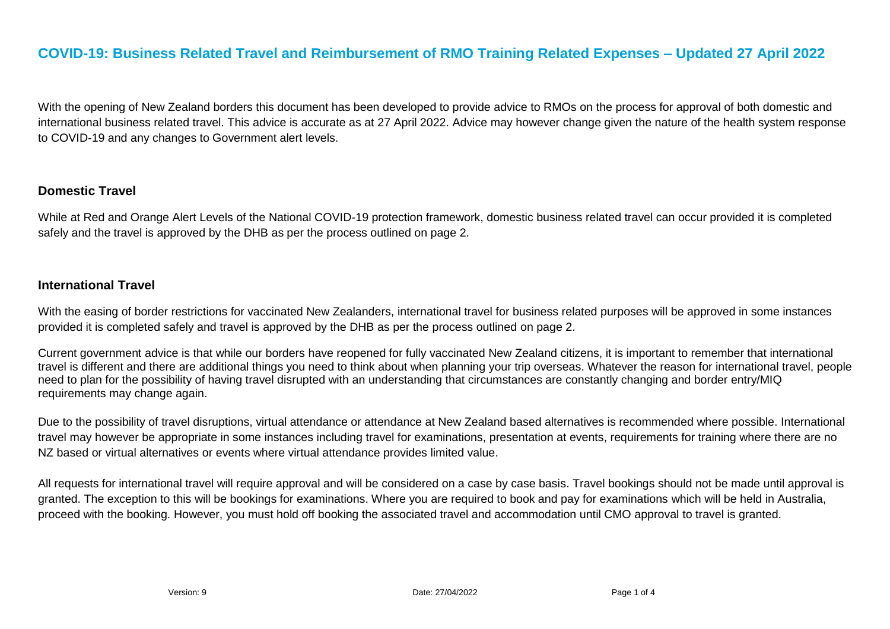# **COVID-19: Business Related Travel and Reimbursement of RMO Training Related Expenses – Updated 27 April 2022**

With the opening of New Zealand borders this document has been developed to provide advice to RMOs on the process for approval of both domestic and international business related travel. This advice is accurate as at 27 April 2022. Advice may however change given the nature of the health system response to COVID-19 and any changes to Government alert levels.

#### **Domestic Travel**

While at Red and Orange Alert Levels of the National COVID-19 protection framework, domestic business related travel can occur provided it is completed safely and the travel is approved by the DHB as per the process outlined on page 2.

#### **International Travel**

With the easing of border restrictions for vaccinated New Zealanders, international travel for business related purposes will be approved in some instances provided it is completed safely and travel is approved by the DHB as per the process outlined on page 2.

Current government advice is that while our borders have reopened for fully vaccinated New Zealand citizens, it is important to remember that international travel is different and there are additional things you need to think about when planning your trip overseas. Whatever the reason for international travel, people need to plan for the possibility of having travel disrupted with an understanding that circumstances are constantly changing and border entry/MIQ requirements may change again.

Due to the possibility of travel disruptions, virtual attendance or attendance at New Zealand based alternatives is recommended where possible. International travel may however be appropriate in some instances including travel for examinations, presentation at events, requirements for training where there are no NZ based or virtual alternatives or events where virtual attendance provides limited value.

All requests for international travel will require approval and will be considered on a case by case basis. Travel bookings should not be made until approval is granted. The exception to this will be bookings for examinations. Where you are required to book and pay for examinations which will be held in Australia, proceed with the booking. However, you must hold off booking the associated travel and accommodation until CMO approval to travel is granted.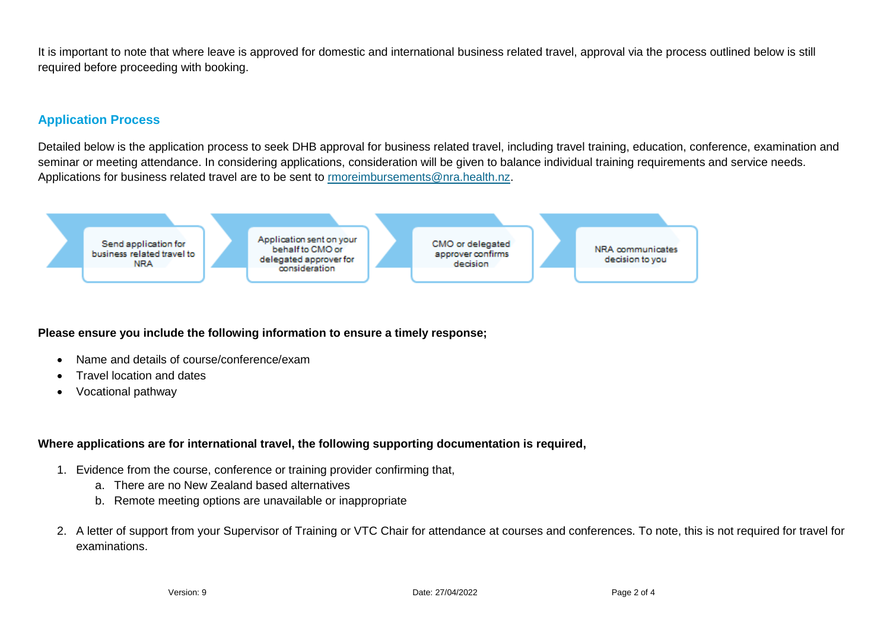It is important to note that where leave is approved for domestic and international business related travel, approval via the process outlined below is still required before proceeding with booking.

## **Application Process**

Detailed below is the application process to seek DHB approval for business related travel, including travel training, education, conference, examination and seminar or meeting attendance. In considering applications, consideration will be given to balance individual training requirements and service needs. Applications for business related travel are to be sent to [rmoreimbursements@nra.health.nz.](mailto:rmoreimbursements@nra.health.nz)



#### **Please ensure you include the following information to ensure a timely response;**

- Name and details of course/conference/exam
- Travel location and dates
- Vocational pathway

### **Where applications are for international travel, the following supporting documentation is required,**

- 1. Evidence from the course, conference or training provider confirming that,
	- a. There are no New Zealand based alternatives
	- b. Remote meeting options are unavailable or inappropriate
- 2. A letter of support from your Supervisor of Training or VTC Chair for attendance at courses and conferences. To note, this is not required for travel for examinations.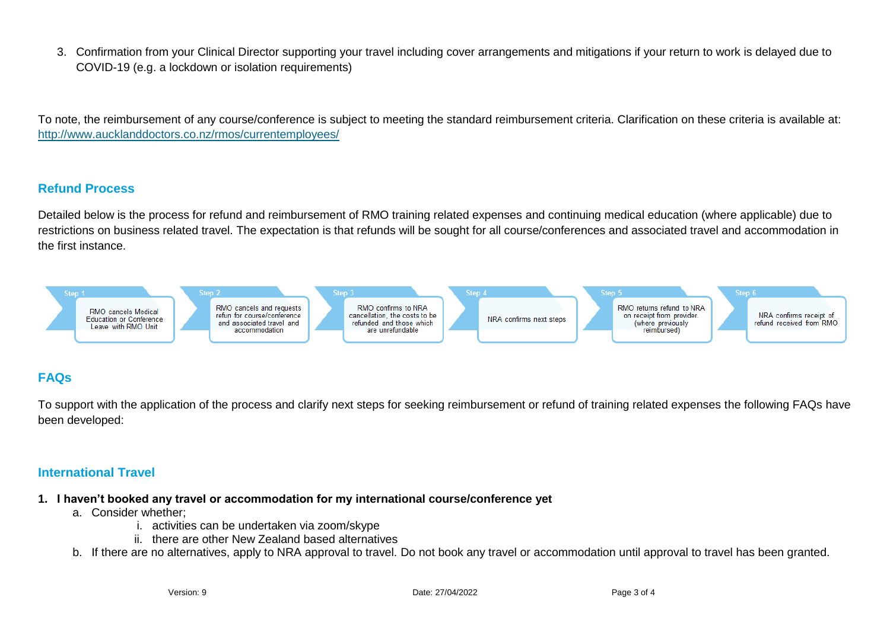3. Confirmation from your Clinical Director supporting your travel including cover arrangements and mitigations if your return to work is delayed due to COVID-19 (e.g. a lockdown or isolation requirements)

To note, the reimbursement of any course/conference is subject to meeting the standard reimbursement criteria. Clarification on these criteria is available at: <http://www.aucklanddoctors.co.nz/rmos/currentemployees/>

#### **Refund Process**

Detailed below is the process for refund and reimbursement of RMO training related expenses and continuing medical education (where applicable) due to restrictions on business related travel. The expectation is that refunds will be sought for all course/conferences and associated travel and accommodation in the first instance.



# **FAQs**

To support with the application of the process and clarify next steps for seeking reimbursement or refund of training related expenses the following FAQs have been developed:

### **International Travel**

- **1. I haven't booked any travel or accommodation for my international course/conference yet** 
	- a. Consider whether;
		- i. activities can be undertaken via zoom/skype
		- ii. there are other New Zealand based alternatives
	- b. If there are no alternatives, apply to NRA approval to travel. Do not book any travel or accommodation until approval to travel has been granted.